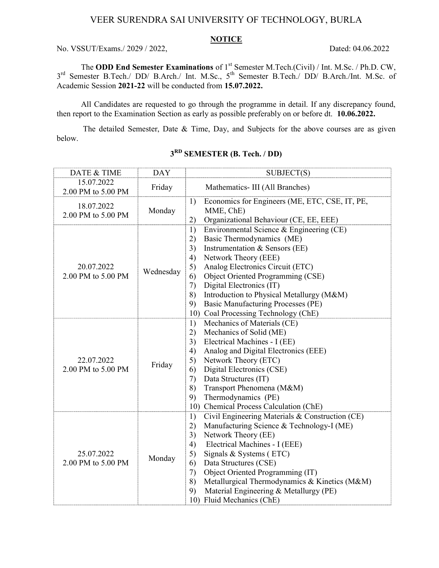## VEER SURENDRA SAI UNIVERSITY OF TECHNOLOGY, BURLA

#### **NOTICE**

No. VSSUT/Exams./ 2029 / 2022, Dated: 04.06.2022

The ODD End Semester Examinations of 1<sup>st</sup> Semester M.Tech.(Civil) / Int. M.Sc. / Ph.D. CW, 3<sup>rd</sup> Semester B.Tech./ DD/ B.Arch./ Int. M.Sc., 5<sup>th</sup> Semester B.Tech./ DD/ B.Arch./Int. M.Sc. of Academic Session 2021-22 will be conducted from 15.07.2022.

All Candidates are requested to go through the programme in detail. If any discrepancy found, then report to the Examination Section as early as possible preferably on or before dt. 10.06.2022.

The detailed Semester, Date & Time, Day, and Subjects for the above courses are as given below.

| DATE & TIME                      | <b>DAY</b> | SUBJECT(S)                                                                                                                                                                                                                                                                                                                                                                                                                   |  |  |
|----------------------------------|------------|------------------------------------------------------------------------------------------------------------------------------------------------------------------------------------------------------------------------------------------------------------------------------------------------------------------------------------------------------------------------------------------------------------------------------|--|--|
| 15.07.2022<br>2.00 PM to 5.00 PM | Friday     | Mathematics- III (All Branches)                                                                                                                                                                                                                                                                                                                                                                                              |  |  |
| 18.07.2022<br>2.00 PM to 5.00 PM | Monday     | Economics for Engineers (ME, ETC, CSE, IT, PE,<br>1)<br>MME, ChE)<br>Organizational Behaviour (CE, EE, EEE)<br>2)                                                                                                                                                                                                                                                                                                            |  |  |
| 20.07.2022<br>2.00 PM to 5.00 PM | Wednesday  | Environmental Science & Engineering (CE)<br>1)<br>Basic Thermodynamics (ME)<br>2)<br>Instrumentation & Sensors (EE)<br>3)<br>Network Theory (EEE)<br>4)<br>Analog Electronics Circuit (ETC)<br>5)<br>Object Oriented Programming (CSE)<br>6)<br>Digital Electronics (IT)<br>7)<br>Introduction to Physical Metallurgy (M&M)<br>8)<br><b>Basic Manufacturing Processes (PE)</b><br>9)<br>10) Coal Processing Technology (ChE) |  |  |
| 22.07.2022<br>2.00 PM to 5.00 PM | Friday     | Mechanics of Materials (CE)<br>1)<br>Mechanics of Solid (ME)<br>2)<br>Electrical Machines - I (EE)<br>3)<br>Analog and Digital Electronics (EEE)<br>4)<br>Network Theory (ETC)<br>5)<br>Digital Electronics (CSE)<br>6)<br>Data Structures (IT)<br>7)<br>Transport Phenomena (M&M)<br>8)<br>Thermodynamics (PE)<br>9)<br>10) Chemical Process Calculation (ChE)                                                              |  |  |
| 25.07.2022<br>2.00 PM to 5.00 PM | Monday     | Civil Engineering Materials & Construction (CE)<br>1)<br>Manufacturing Science & Technology-I (ME)<br>2)<br>Network Theory (EE)<br>3)<br>Electrical Machines - I (EEE)<br>4)<br>Signals & Systems (ETC)<br>5)<br>Data Structures (CSE)<br>6)<br>Object Oriented Programming (IT)<br>7)<br>Metallurgical Thermodynamics & Kinetics (M&M)<br>8)<br>Material Engineering & Metallurgy (PE)<br>9)<br>10) Fluid Mechanics (ChE)   |  |  |

### 3<sup>RD</sup> SEMESTER (B. Tech. / DD)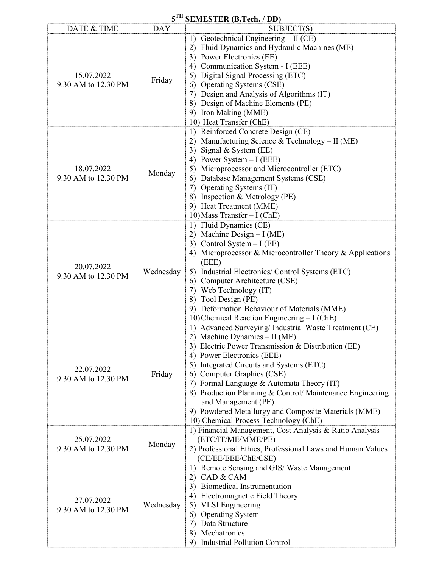## 5<sup>TH</sup> SEMESTER (B.Tech. / DD)

| DATE & TIME                       | <b>DAY</b> | $\mathcal{L}$ . The state $\mathcal{L}$ is the state $\mathcal{L}$<br>SUBJECT(S)                                                                                                                                                                                                                                                                                                                                                                                                           |
|-----------------------------------|------------|--------------------------------------------------------------------------------------------------------------------------------------------------------------------------------------------------------------------------------------------------------------------------------------------------------------------------------------------------------------------------------------------------------------------------------------------------------------------------------------------|
| 15.07.2022<br>9.30 AM to 12.30 PM | Friday     | Geotechnical Engineering - II (CE)<br>1)<br>Fluid Dynamics and Hydraulic Machines (ME)<br>2)<br>3) Power Electronics (EE)<br>4) Communication System - I (EEE)<br>5) Digital Signal Processing (ETC)<br>6) Operating Systems (CSE)<br>7) Design and Analysis of Algorithms (IT)<br>8) Design of Machine Elements (PE)<br>9) Iron Making (MME)<br>10) Heat Transfer (ChE)                                                                                                                   |
| 18.07.2022<br>9.30 AM to 12.30 PM | Monday     | 1) Reinforced Concrete Design (CE)<br>2) Manufacturing Science & Technology - II (ME)<br>3) Signal & System (EE)<br>4) Power System $-I$ (EEE)<br>5) Microprocessor and Microcontroller (ETC)<br>6) Database Management Systems (CSE)<br>7) Operating Systems (IT)<br>8) Inspection & Metrology (PE)<br>9) Heat Treatment (MME)<br>10) Mass Transfer $-I$ (ChE)                                                                                                                            |
| 20.07.2022<br>9.30 AM to 12.30 PM | Wednesday  | 1) Fluid Dynamics (CE)<br>2) Machine Design $-I(ME)$<br>3) Control System $-I$ (EE)<br>4) Microprocessor & Microcontroller Theory & Applications<br>(EEE)<br>5) Industrial Electronics/ Control Systems (ETC)<br>6) Computer Architecture (CSE)<br>7) Web Technology (IT)<br>8) Tool Design (PE)<br>9) Deformation Behaviour of Materials (MME)<br>10) Chemical Reaction Engineering - I (ChE)                                                                                             |
| 22.07.2022<br>9.30 AM to 12.30 PM | Friday     | 1) Advanced Surveying/ Industrial Waste Treatment (CE)<br>2) Machine Dynamics - II (ME)<br>3) Electric Power Transmission & Distribution (EE)<br>4) Power Electronics (EEE)<br>5) Integrated Circuits and Systems (ETC)<br>Computer Graphics (CSE)<br>6)<br>7) Formal Language & Automata Theory (IT)<br>8) Production Planning & Control/ Maintenance Engineering<br>and Management (PE)<br>9) Powdered Metallurgy and Composite Materials (MME)<br>10) Chemical Process Technology (ChE) |
| 25.07.2022<br>9.30 AM to 12.30 PM | Monday     | 1) Financial Management, Cost Analysis & Ratio Analysis<br>(ETC/IT/ME/MME/PE)<br>2) Professional Ethics, Professional Laws and Human Values<br>(CE/EE/EEE/ChE/CSE)                                                                                                                                                                                                                                                                                                                         |
| 27.07.2022<br>9.30 AM to 12.30 PM | Wednesday  | 1) Remote Sensing and GIS/Waste Management<br>CAD & CAM<br>2)<br>Biomedical Instrumentation<br>3)<br>Electromagnetic Field Theory<br>4)<br>5) VLSI Engineering<br>6) Operating System<br>Data Structure<br>7)<br>8) Mechatronics<br><b>Industrial Pollution Control</b><br>9)                                                                                                                                                                                                              |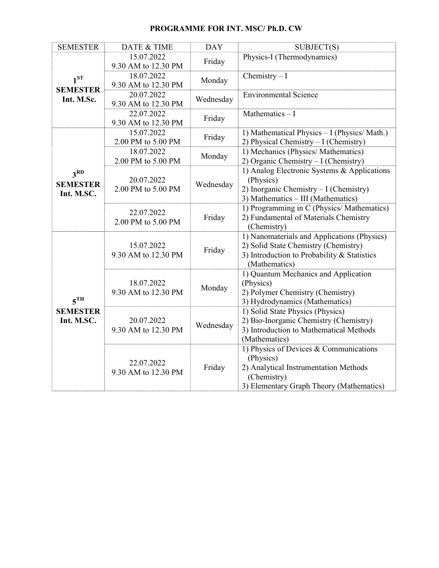| <b>SEMESTER</b>                                  | DATE & TIME                       | <b>DAY</b> | SUBJECT(S)                                                                          |
|--------------------------------------------------|-----------------------------------|------------|-------------------------------------------------------------------------------------|
| 1 <sup>ST</sup><br><b>SEMESTER</b><br>Int. M.Sc. | 15.07.2022                        | Friday     | Physics-I (Thermodynamics)                                                          |
|                                                  | 9.30 AM to 12.30 PM               |            |                                                                                     |
|                                                  | 18.07.2022                        | Monday     | Chemistry $-I$                                                                      |
|                                                  | 9.30 AM to 12.30 PM               |            |                                                                                     |
|                                                  | 20.07.2022<br>9.30 AM to 12.30 PM | Wednesday  | <b>Environmental Science</b>                                                        |
|                                                  | 22.07.2022                        |            | Mathematics $-1$                                                                    |
|                                                  | 9.30 AM to 12.30 PM               | Friday     |                                                                                     |
|                                                  | 15.07.2022                        |            | 1) Mathematical Physics - I (Physics/ Math.)                                        |
|                                                  | 2.00 PM to 5.00 PM                | Friday     | 2) Physical Chemistry - I (Chemistry)                                               |
|                                                  | 18.07.2022                        | Monday     | 1) Mechanics (Physics/ Mathematics)                                                 |
|                                                  | 2.00 PM to 5.00 PM                |            | 2) Organic Chemistry - I (Chemistry)                                                |
| 3 <sup>RD</sup><br><b>SEMESTER</b><br>Int. M.SC. | 20.07.2022<br>2.00 PM to 5.00 PM  | Wednesday  | 1) Analog Electronic Systems & Applications                                         |
|                                                  |                                   |            | (Physics)                                                                           |
|                                                  |                                   |            | 2) Inorganic Chemistry - I (Chemistry)                                              |
|                                                  |                                   |            | 3) Mathematics - III (Mathematics)                                                  |
|                                                  | 22.07.2022<br>2.00 PM to 5.00 PM  | Friday     | 1) Programming in C (Physics/ Mathematics)<br>2) Fundamental of Materials Chemistry |
|                                                  |                                   |            | (Chemistry)                                                                         |
|                                                  |                                   | Friday     | 1) Nanomaterials and Applications (Physics)                                         |
|                                                  | 15.07.2022                        |            | 2) Solid State Chemistry (Chemistry)                                                |
|                                                  | 9.30 AM to 12.30 PM               |            | 3) Introduction to Probability & Statistics                                         |
|                                                  |                                   |            | (Mathematics)                                                                       |
|                                                  |                                   | Monday     | 1) Quantum Mechanics and Application                                                |
|                                                  | 18.07.2022                        |            | (Physics)                                                                           |
| 5 <sup>TH</sup><br><b>SEMESTER</b>               | 9.30 AM to 12.30 PM               |            | 2) Polymer Chemistry (Chemistry)<br>3) Hydrodynamics (Mathematics)                  |
|                                                  |                                   |            | 1) Solid State Physics (Physics)                                                    |
| Int. M.SC.                                       | 20.07.2022                        | Wednesday  | 2) Bio-Inorganic Chemistry (Chemistry)                                              |
|                                                  | 9.30 AM to 12.30 PM               |            | 3) Introduction to Mathematical Methods                                             |
|                                                  |                                   |            | (Mathematics)                                                                       |
|                                                  |                                   | Friday     | 1) Physics of Devices & Communications                                              |
|                                                  | 22.07.2022                        |            | (Physics)                                                                           |
|                                                  | 9.30 AM to 12.30 PM               |            | 2) Analytical Instrumentation Methods                                               |
|                                                  |                                   |            | (Chemistry)                                                                         |
|                                                  |                                   |            | 3) Elementary Graph Theory (Mathematics)                                            |

#### PROGRAMME FOR INT. MSC/ Ph.D. CW